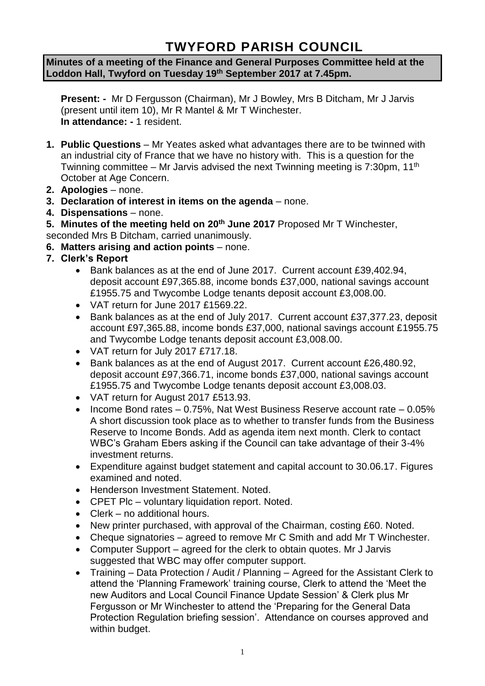# **TWYFORD PARISH COUNCIL**

**Minutes of a meeting of the Finance and General Purposes Committee held at the Loddon Hall, Twyford on Tuesday 19th September 2017 at 7.45pm.**

**Present: -** Mr D Fergusson (Chairman), Mr J Bowley, Mrs B Ditcham, Mr J Jarvis (present until item 10), Mr R Mantel & Mr T Winchester. **In attendance: -** 1 resident.

- **1. Public Questions** Mr Yeates asked what advantages there are to be twinned with an industrial city of France that we have no history with. This is a question for the Twinning committee – Mr Jarvis advised the next Twinning meeting is 7:30pm, 11<sup>th</sup> October at Age Concern.
- **2. Apologies** none.
- **3. Declaration of interest in items on the agenda**  none.
- **4. Dispensations**  none.
- **5. Minutes of the meeting held on 20th June 2017** Proposed Mr T Winchester,

seconded Mrs B Ditcham, carried unanimously.

- **6. Matters arising and action points** none.
- **7. Clerk's Report**
	- Bank balances as at the end of June 2017. Current account £39,402.94, deposit account £97,365.88, income bonds £37,000, national savings account £1955.75 and Twycombe Lodge tenants deposit account £3,008.00.
	- VAT return for June 2017 £1569.22.
	- Bank balances as at the end of July 2017. Current account £37,377.23, deposit account £97,365.88, income bonds £37,000, national savings account £1955.75 and Twycombe Lodge tenants deposit account £3,008.00.
	- VAT return for July 2017 £717.18.
	- Bank balances as at the end of August 2017. Current account £26,480.92, deposit account £97,366.71, income bonds £37,000, national savings account £1955.75 and Twycombe Lodge tenants deposit account £3,008.03.
	- VAT return for August 2017 £513.93.
	- Income Bond rates 0.75%, Nat West Business Reserve account rate 0.05% A short discussion took place as to whether to transfer funds from the Business Reserve to Income Bonds. Add as agenda item next month. Clerk to contact WBC's Graham Ebers asking if the Council can take advantage of their 3-4% investment returns.
	- Expenditure against budget statement and capital account to 30.06.17. Figures examined and noted.
	- Henderson Investment Statement. Noted.
	- CPET Plc voluntary liquidation report. Noted.
	- Clerk no additional hours.
	- New printer purchased, with approval of the Chairman, costing £60. Noted.
	- Cheque signatories agreed to remove Mr C Smith and add Mr T Winchester.
	- Computer Support agreed for the clerk to obtain quotes. Mr J Jarvis suggested that WBC may offer computer support.
	- Training Data Protection / Audit / Planning Agreed for the Assistant Clerk to attend the 'Planning Framework' training course, Clerk to attend the 'Meet the new Auditors and Local Council Finance Update Session' & Clerk plus Mr Fergusson or Mr Winchester to attend the 'Preparing for the General Data Protection Regulation briefing session'. Attendance on courses approved and within budget.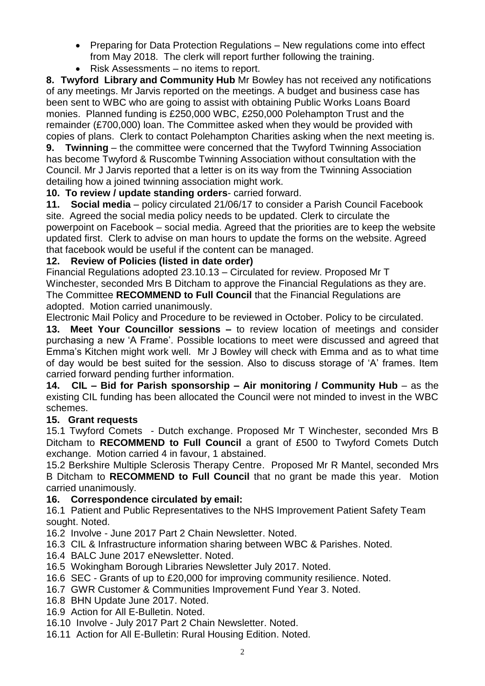- Preparing for Data Protection Regulations New regulations come into effect from May 2018. The clerk will report further following the training.
- Risk Assessments no items to report.

**8. Twyford Library and Community Hub** Mr Bowley has not received any notifications of any meetings. Mr Jarvis reported on the meetings. A budget and business case has been sent to WBC who are going to assist with obtaining Public Works Loans Board monies. Planned funding is £250,000 WBC, £250,000 Polehampton Trust and the remainder (£700,000) loan. The Committee asked when they would be provided with copies of plans. Clerk to contact Polehampton Charities asking when the next meeting is.

**9. Twinning** – the committee were concerned that the Twyford Twinning Association has become Twyford & Ruscombe Twinning Association without consultation with the Council. Mr J Jarvis reported that a letter is on its way from the Twinning Association detailing how a joined twinning association might work.

**10. To review / update standing orders**- carried forward.

**11. Social media** – policy circulated 21/06/17 to consider a Parish Council Facebook site. Agreed the social media policy needs to be updated. Clerk to circulate the powerpoint on Facebook – social media. Agreed that the priorities are to keep the website updated first. Clerk to advise on man hours to update the forms on the website. Agreed that facebook would be useful if the content can be managed.

## **12. Review of Policies (listed in date order)**

Financial Regulations adopted 23.10.13 – Circulated for review. Proposed Mr T Winchester, seconded Mrs B Ditcham to approve the Financial Regulations as they are. The Committee **RECOMMEND to Full Council** that the Financial Regulations are adopted. Motion carried unanimously.

Electronic Mail Policy and Procedure to be reviewed in October. Policy to be circulated.

**13. Meet Your Councillor sessions –** to review location of meetings and consider purchasing a new 'A Frame'. Possible locations to meet were discussed and agreed that Emma's Kitchen might work well. Mr J Bowley will check with Emma and as to what time of day would be best suited for the session. Also to discuss storage of 'A' frames. Item carried forward pending further information.

**14. CIL – Bid for Parish sponsorship – Air monitoring / Community Hub** – as the existing CIL funding has been allocated the Council were not minded to invest in the WBC schemes.

## **15. Grant requests**

15.1 Twyford Comets - Dutch exchange. Proposed Mr T Winchester, seconded Mrs B Ditcham to **RECOMMEND to Full Council** a grant of £500 to Twyford Comets Dutch exchange. Motion carried 4 in favour, 1 abstained.

15.2 Berkshire Multiple Sclerosis Therapy Centre. Proposed Mr R Mantel, seconded Mrs B Ditcham to **RECOMMEND to Full Council** that no grant be made this year. Motion carried unanimously.

## **16. Correspondence circulated by email:**

16.1 Patient and Public Representatives to the NHS Improvement Patient Safety Team sought. Noted.

16.2 Involve - June 2017 Part 2 Chain Newsletter. Noted.

- 16.3 CIL & Infrastructure information sharing between WBC & Parishes. Noted.
- 16.4 BALC June 2017 eNewsletter. Noted.
- 16.5 Wokingham Borough Libraries Newsletter July 2017. Noted.
- 16.6 SEC Grants of up to £20,000 for improving community resilience. Noted.
- 16.7 GWR Customer & Communities Improvement Fund Year 3. Noted.
- 16.8 BHN Update June 2017. Noted.
- 16.9 Action for All E-Bulletin. Noted.
- 16.10 Involve July 2017 Part 2 Chain Newsletter. Noted.
- 16.11 Action for All E-Bulletin: Rural Housing Edition. Noted.